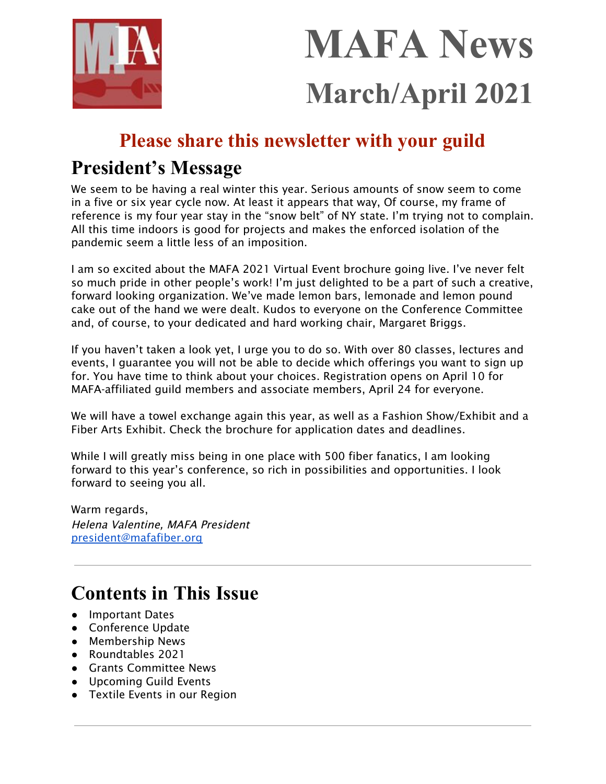

# **MAFA News March/April 2021**

# **Please share this newsletter with your guild**

# **President's Message**

We seem to be having a real winter this year. Serious amounts of snow seem to come in a five or six year cycle now. At least it appears that way, Of course, my frame of reference is my four year stay in the "snow belt" of NY state. I'm trying not to complain. All this time indoors is good for projects and makes the enforced isolation of the pandemic seem a little less of an imposition.

I am so excited about the MAFA 2021 Virtual Event brochure going live. I've never felt so much pride in other people's work! I'm just delighted to be a part of such a creative, forward looking organization. We've made lemon bars, lemonade and lemon pound cake out of the hand we were dealt. Kudos to everyone on the Conference Committee and, of course, to your dedicated and hard working chair, Margaret Briggs.

If you haven't taken a look yet, I urge you to do so. With over 80 classes, lectures and events, I guarantee you will not be able to decide which offerings you want to sign up for. You have time to think about your choices. Registration opens on April 10 for MAFA-affiliated guild members and associate members, April 24 for everyone.

We will have a towel exchange again this year, as well as a Fashion Show/Exhibit and a Fiber Arts Exhibit. Check the brochure for application dates and deadlines.

While I will greatly miss being in one place with 500 fiber fanatics, I am looking forward to this year's conference, so rich in possibilities and opportunities. I look forward to seeing you all.

Warm regards, Helena Valentine, MAFA President [president@mafafiber.org](mailto:president@mafafiber.org)

# **Contents in This Issue**

- Important Dates
- Conference Update
- Membership News
- Roundtables 2021
- Grants Committee News
- Upcoming Guild Events
- Textile Events in our Region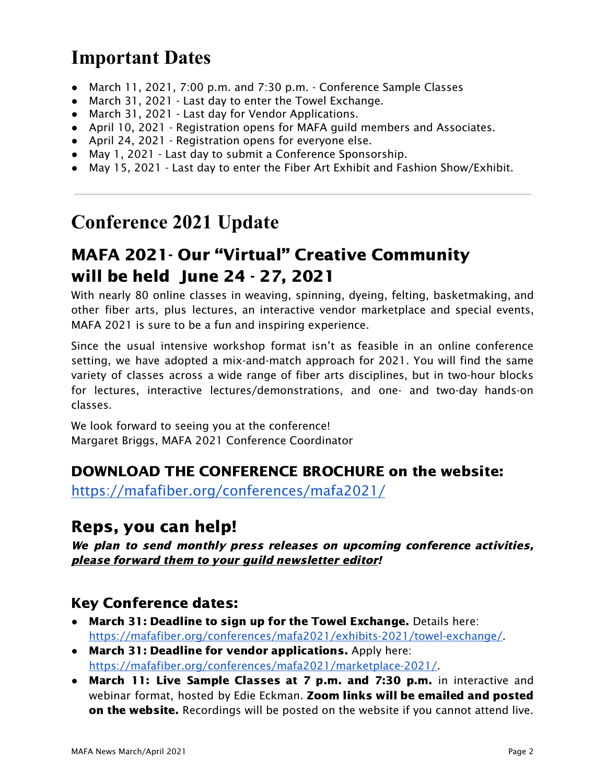# **Important Dates**

- March 11, 2021, 7:00 p.m. and 7:30 p.m. Conference Sample Classes
- March 31, 2021 Last day to enter the Towel Exchange.
- March 31, 2021 Last day for Vendor Applications.
- April 10, 2021 Registration opens for MAFA guild members and Associates.
- April 24, 2021 Registration opens for everyone else.
- May 1, 2021 Last day to submit a Conference Sponsorship.
- May 15, 2021 Last day to enter the Fiber Art Exhibit and Fashion Show/Exhibit.

# **Conference 2021 Update**

# MAFA 2021- Our "Virtual" Creative Community will be held June 24 - 27, 2021

With nearly 80 online classes in weaving, spinning, dyeing, felting, basketmaking, and other fiber arts, plus lectures, an interactive vendor marketplace and special events, MAFA 2021 is sure to be a fun and inspiring experience.

Since the usual intensive workshop format isn't as feasible in an online conference setting, we have adopted a mix-and-match approach for 2021. You will find the same variety of classes across a wide range of fiber arts disciplines, but in two-hour blocks for lectures, interactive lectures/demonstrations, and one- and two-day hands-on classes.

We look forward to seeing you at the conference! Margaret Briggs, MAFA 2021 Conference Coordinator

# DOWNLOAD THE CONFERENCE BROCHURE on the website:

<https://mafafiber.org/conferences/mafa2021/>

# Reps, you can help!

We plan to send monthly press releases on upcoming conference activities, please forward them to your guild newsletter editor!

# Key Conference dates:

- March 31: Deadline to sign up for the Towel Exchange. Details here: [https://mafafiber.org/conferences/mafa2021/exhibits-2021/towel-exchange/.](https://mafafiber.org/conferences/mafa2021/exhibits-2021/towel-exchange/)
- March 31: Deadline for vendor applications. Apply here: [https://mafafiber.org/conferences/mafa2021/marketplace-2021/.](https://mafafiber.org/conferences/mafa2021/marketplace-2021/)
- March 11: Live Sample Classes at 7 p.m. and 7:30 p.m. in interactive and webinar format, hosted by Edie Eckman. Zoom links will be emailed and posted on the website. Recordings will be posted on the website if you cannot attend live.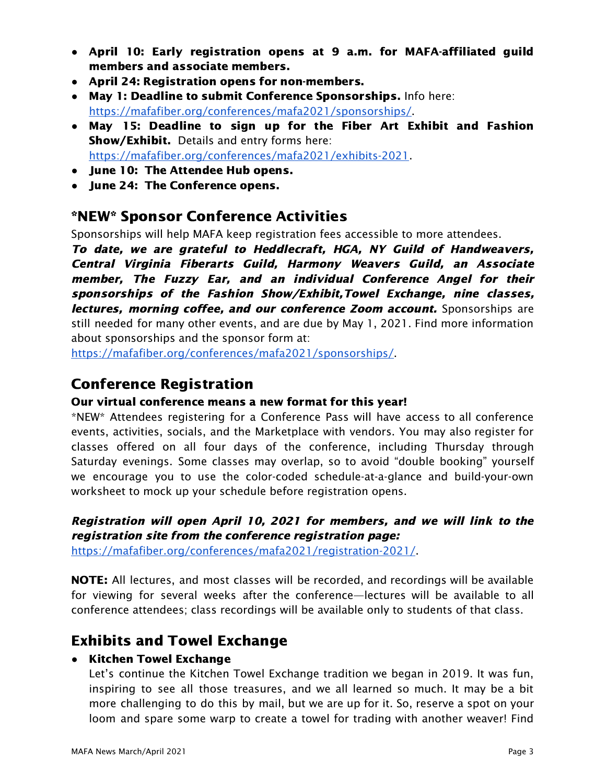- April 10: Early registration opens at 9 a.m. for MAFA-affiliated guild members and associate members.
- April 24: Registration opens for non-members.
- May 1: Deadline to submit Conference Sponsorships. Info here: [https://mafafiber.org/conferences/mafa2021/sponsorships/.](https://mafafiber.org/conferences/mafa2021/sponsorships/)
- May 15: Deadline to sign up for the Fiber Art Exhibit and Fashion Show/Exhibit. Details and entry forms here: <https://mafafiber.org/conferences/mafa2021/exhibits-2021>.
- **●** June 10: The Attendee Hub opens.
- **●** June 24: The Conference opens.

## \*NEW\* Sponsor Conference Activities

Sponsorships will help MAFA keep registration fees accessible to more attendees.

To date, we are grateful to Heddlecraft, HGA, NY Guild of Handweavers, Central Virginia Fiberarts Guild, Harmony Weavers Guild, an Associate member, The Fuzzy Ear, and an individual Conference Angel for their sponsorships of the Fashion Show/Exhibit,Towel Exchange, nine classes, lectures, morning coffee, and our conference Zoom account. Sponsorships are still needed for many other events, and are due by May 1, 2021. Find more information about sponsorships and the sponsor form at:

[https://mafafiber.org/conferences/mafa2021/sponsorships/.](https://mafafiber.org/conferences/mafa2021/sponsorships/)

# Conference Registration

## Our virtual conference means a new format for this year!

\*NEW\* Attendees registering for a Conference Pass will have access to all conference events, activities, socials, and the Marketplace with vendors. You may also register for classes offered on all four days of the conference, including Thursday through Saturday evenings. Some classes may overlap, so to avoid "double booking" yourself we encourage you to use the color-coded schedule-at-a-glance and build-your-own worksheet to mock up your schedule before registration opens.

## Registration will open April 10, 2021 for members, and we will link to the registration site from the conference registration page:

<https://mafafiber.org/conferences/mafa2021/registration-2021/>.

NOTE: All lectures, and most classes will be recorded, and recordings will be available for viewing for several weeks after the conference—lectures will be available to all conference attendees; class recordings will be available only to students of that class.

## Exhibits and Towel Exchange

## **●** Kitchen Towel Exchange

Let's continue the Kitchen Towel Exchange tradition we began in 2019. It was fun, inspiring to see all those treasures, and we all learned so much. It may be a bit more challenging to do this by mail, but we are up for it. So, reserve a spot on your loom and spare some warp to create a towel for trading with another weaver! Find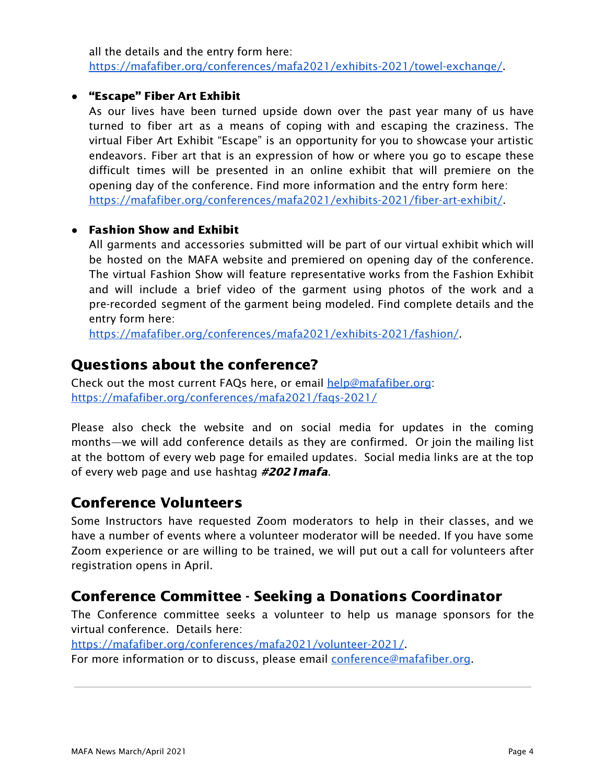all the details and the entry form here: [https://mafafiber.org/conferences/mafa2021/exhibits-2021/towel-exchange/.](https://mafafiber.org/conferences/mafa2021/exhibits-2021/towel-exchange/)

#### **●** "Escape" Fiber Art Exhibit

As our lives have been turned upside down over the past year many of us have turned to fiber art as a means of coping with and escaping the craziness. The virtual Fiber Art Exhibit "Escape" is an opportunity for you to showcase your artistic endeavors. Fiber art that is an expression of how or where you go to escape these difficult times will be presented in an online exhibit that will premiere on the opening day of the conference. Find more information and the entry form here: [https://mafafiber.org/conferences/mafa2021/exhibits-2021/fiber-art-exhibit/.](https://mafafiber.org/conferences/mafa2021/exhibits-2021/fiber-art-exhibit/)

#### **●** Fashion Show and Exhibit

All garments and accessories submitted will be part of our virtual exhibit which will be hosted on the MAFA website and premiered on opening day of the conference. The virtual Fashion Show will feature representative works from the Fashion Exhibit and will include a brief video of the garment using photos of the work and a pre-recorded segment of the garment being modeled. Find complete details and the entry form here:

[https://mafafiber.org/conferences/mafa2021/exhibits-2021/fashion/.](https://mafafiber.org/conferences/mafa2021/exhibits-2021/fashion/)

## Questions about the conference?

Check out the most current FAQs here, or email [help@mafafiber.org:](mailto:help@mafafiber.org) <https://mafafiber.org/conferences/mafa2021/faqs-2021/>

Please also check the website and on social media for updates in the coming months—we will add conference details as they are confirmed. Or join the mailing list at the bottom of every web page for emailed updates. Social media links are at the top of every web page and use hashtag #2021 mafa.

## Conference Volunteers

Some Instructors have requested Zoom moderators to help in their classes, and we have a number of events where a volunteer moderator will be needed. If you have some Zoom experience or are willing to be trained, we will put out a call for volunteers after registration opens in April.

## Conference Committee - Seeking a Donations Coordinator

The Conference committee seeks a volunteer to help us manage sponsors for the virtual conference. Details here:

<https://mafafiber.org/conferences/mafa2021/volunteer-2021/>.

For more information or to discuss, please email [conference@mafafiber.org.](mailto:conference@mafafiber.org)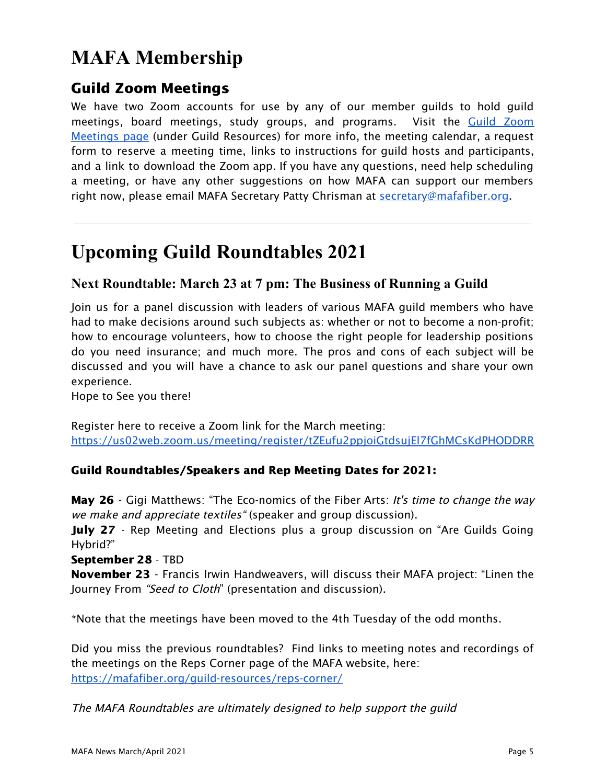# **MAFA Membership**

# Guild Zoom Meetings

We have two Zoom accounts for use by any of our member guilds to hold guild meetings, board meetings, study groups, and programs. Visit the Guild [Zoom](https://mafafiber.org/guild-resources/guild-zoom-meetings/) [Meetings](https://mafafiber.org/guild-resources/guild-zoom-meetings/) page (under Guild Resources) for more info, the meeting calendar, a request form to reserve a meeting time, links to instructions for guild hosts and participants, and a link to download the Zoom app. If you have any questions, need help scheduling a meeting, or have any other suggestions on how MAFA can support our members right now, please email MAFA Secretary Patty Chrisman at [secretary@mafafiber.org](mailto:secretary@mafafiber.org).

# **Upcoming Guild Roundtables 2021**

## **Next Roundtable: March 23 at 7 pm: The Business of Running a Guild**

Join us for a panel discussion with leaders of various MAFA guild members who have had to make decisions around such subjects as: whether or not to become a non-profit; how to encourage volunteers, how to choose the right people for leadership positions do you need insurance; and much more. The pros and cons of each subject will be discussed and you will have a chance to ask our panel questions and share your own experience.

Hope to See you there!

Register here to receive a Zoom link for the March meeting: <https://us02web.zoom.us/meeting/register/tZEufu2ppjoiGtdsujEl7fGhMCsKdPHODDRR>

#### Guild Roundtables/Speakers and Rep Meeting Dates for 2021:

May 26 - Gigi Matthews: "The Eco-nomics of the Fiber Arts: It's time to change the way we make and appreciate textiles "(speaker and group discussion).

July 27 - Rep Meeting and Elections plus a group discussion on "Are Guilds Going Hybrid?"

September 28 - TBD

November 23 - Francis Irwin Handweavers, will discuss their MAFA project: "Linen the Journey From "Seed to Cloth" (presentation and discussion).

\*Note that the meetings have been moved to the 4th Tuesday of the odd months.

Did you miss the previous roundtables? Find links to meeting notes and recordings of the meetings on the Reps Corner page of the MAFA website, here: <https://mafafiber.org/guild-resources/reps-corner/>

The MAFA Roundtables are ultimately designed to help support the guild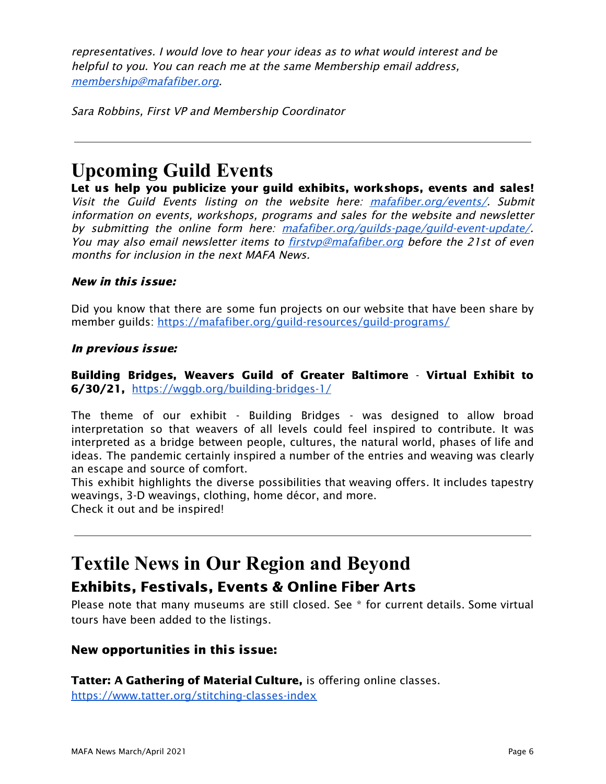representatives. I would love to hear your ideas as to what would interest and be helpful to you. You can reach me at the same Membership email address, [membership@mafafiber.org](mailto:membership@mafafiber.org).

Sara Robbins, First VP and Membership Coordinator

# **Upcoming Guild Events**

Let us help you publicize your guild exhibits, workshops, events and sales! Visit the Guild Events listing on the website here: [mafafiber.org/events/](https://mafafiber.org/events/). Submit information on events, workshops, programs and sales for the website and newsletter by submitting the online form here: [mafafiber.org/guilds-page/guild-event-update/](https://mafafiber.org/guilds-page/guild-event-update/). You may also email newsletter items to firstyp@mafafiber.org before the 21st of even months for inclusion in the next MAFA News.

#### New in this issue:

Did you know that there are some fun projects on our website that have been share by member guilds: <https://mafafiber.org/guild-resources/guild-programs/>

#### In previous issue:

Building Bridges, Weavers Guild of Greater Baltimore - Virtual Exhibit to 6/30/21, <https://wggb.org/building-bridges-1/>

The theme of our exhibit - Building Bridges - was designed to allow broad interpretation so that weavers of all levels could feel inspired to contribute. It was interpreted as a bridge between people, cultures, the natural world, phases of life and ideas. The pandemic certainly inspired a number of the entries and weaving was clearly an escape and source of comfort.

This exhibit highlights the diverse possibilities that weaving offers. It includes tapestry weavings, 3-D weavings, clothing, home décor, and more. Check it out and be inspired!

# **Textile News in Our Region and Beyond** Exhibits, Festivals, Events & Online Fiber Arts

Please note that many museums are still closed. See \* for current details. Some virtual tours have been added to the listings.

## New opportunities in this issue:

Tatter: A Gathering of Material Culture, is offering online classes.

<https://www.tatter.org/stitching-classes-index>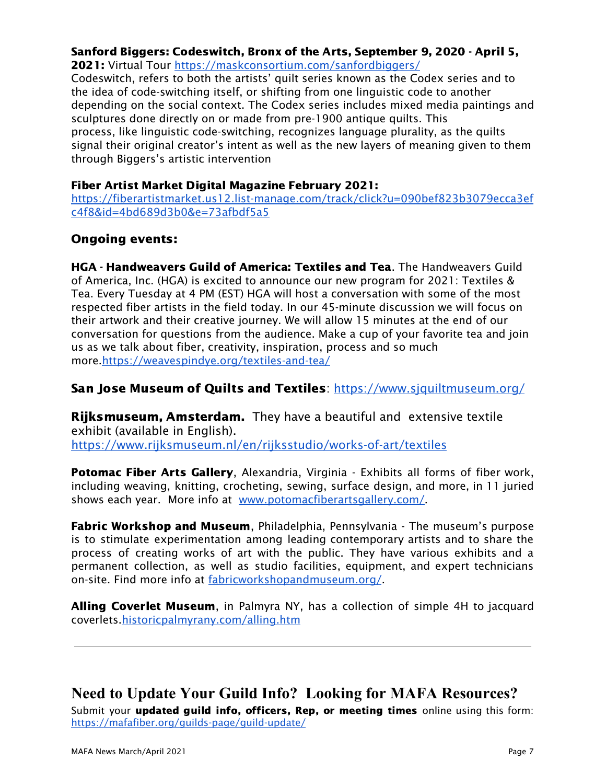#### Sanford Biggers: Codeswitch, Bronx of the Arts, September 9, 2020 - April 5,

2021: Virtual Tour <https://maskconsortium.com/sanfordbiggers/> Codeswitch, refers to both the artists' quilt series known as the Codex series and to the idea of code-switching itself, or shifting from one linguistic code to another depending on the social context. The Codex series includes mixed media paintings and sculptures done directly on or made from pre-1900 antique quilts. This process, like linguistic code-switching, recognizes language plurality, as the quilts signal their original creator's intent as well as the new layers of meaning given to them through Biggers's artistic intervention

#### Fiber Artist Market Digital Magazine February 2021:

[https://fiberartistmarket.us12.list-manage.com/track/click?u=090bef823b3079ecca3ef](https://fiberartistmarket.us12.list-manage.com/track/click?u=090bef823b3079ecca3efc4f8&id=4bd689d3b0&e=73afbdf5a5) [c4f8&id=4bd689d3b0&e=73afbdf5a5](https://fiberartistmarket.us12.list-manage.com/track/click?u=090bef823b3079ecca3efc4f8&id=4bd689d3b0&e=73afbdf5a5)

## Ongoing events:

HGA - Handweavers Guild of America: Textiles and Tea. The Handweavers Guild of America, Inc. (HGA) is excited to announce our new program for 2021: Textiles & Tea. Every Tuesday at 4 PM (EST) HGA will host a conversation with some of the most respected fiber artists in the field today. In our 45-minute discussion we will focus on their artwork and their creative journey. We will allow 15 minutes at the end of our conversation for questions from the audience. Make a cup of your favorite tea and join us as we talk about fiber, creativity, inspiration, process and so much more[.https://weavespindye.org/textiles-and-tea/](https://weavespindye.org/textiles-and-tea/)

#### San Jose Museum of Quilts and Textiles: <https://www.sjquiltmuseum.org/>

Rijksmuseum, Amsterdam. They have a beautiful and extensive textile exhibit (available in English). <https://www.rijksmuseum.nl/en/rijksstudio/works-of-art/textiles>

Potomac Fiber Arts Gallery, Alexandria, Virginia - Exhibits all forms of fiber work, including weaving, knitting, crocheting, sewing, surface design, and more, in 11 juried shows each year. More info at [www.potomacfiberartsgallery.com/](http://www.potomacfiberartsgallery.com/).

**Fabric Workshop and Museum**, Philadelphia, Pennsylvania - The museum's purpose is to stimulate experimentation among leading contemporary artists and to share the process of creating works of art with the public. They have various exhibits and a permanent collection, as well as studio facilities, equipment, and expert technicians on-site. Find more info at [fabricworkshopandmuseum.org/.](http://fabricworkshopandmuseum.org/)

Alling Coverlet Museum, in Palmyra NY, has a collection of simple 4H to jacquard coverlets[.historicpalmyrany.com/alling.htm](http://historicpalmyrany.com/alling.htm)

## **Need to Update Your Guild Info? Looking for MAFA Resources?**

Submit your updated guild info, officers, Rep, or meeting times online using this form: <https://mafafiber.org/guilds-page/guild-update/>